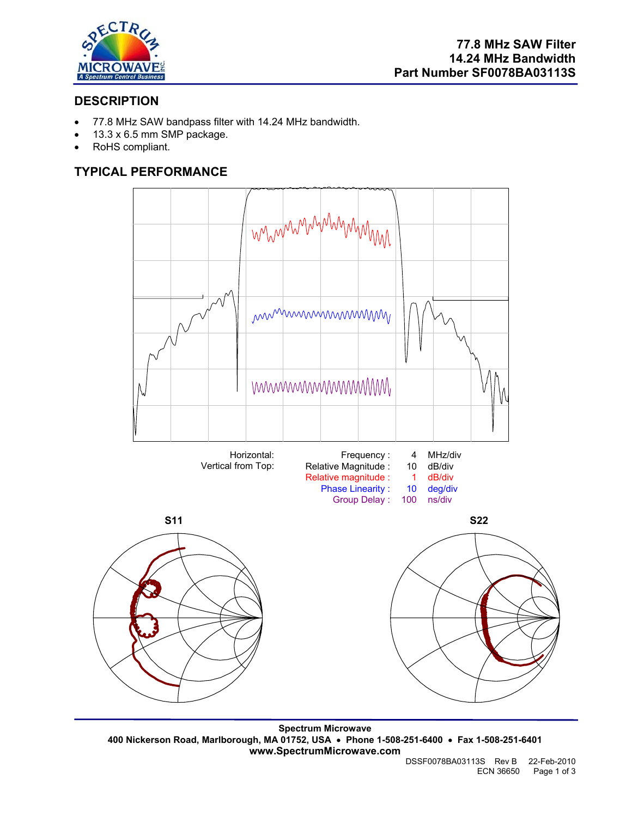

# **DESCRIPTION**

- 77.8 MHz SAW bandpass filter with 14.24 MHz bandwidth.
- 13.3 x 6.5 mm SMP package.
- RoHS compliant.

# **TYPICAL PERFORMANCE**



**Spectrum Microwave 400 Nickerson Road, Marlborough, MA 01752, USA** • **Phone 1-508-251-6400** • **Fax 1-508-251-6401 www.SpectrumMicrowave.com**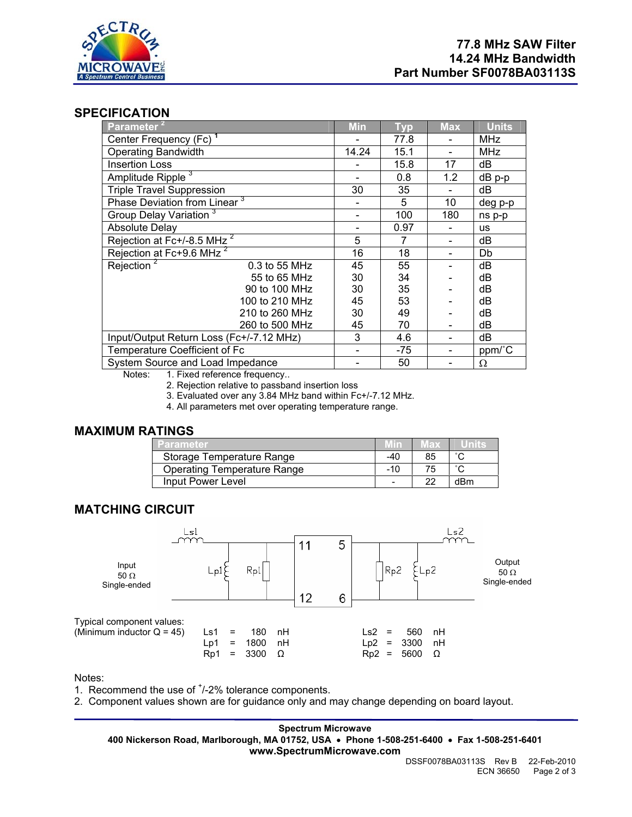

## **SPECIFICATION**

| Parameter <sup>2</sup>                   | <b>Min</b> | <b>Typ</b> | <b>Max</b> | <b>Units</b> |
|------------------------------------------|------------|------------|------------|--------------|
| Center Frequency (Fc) <sup>1</sup>       |            | 77.8       |            | <b>MHz</b>   |
| <b>Operating Bandwidth</b>               | 14.24      | 15.1       |            | <b>MHz</b>   |
| <b>Insertion Loss</b>                    |            | 15.8       | 17         | dB           |
| Amplitude Ripple <sup>3</sup>            |            | 0.8        | 1.2        | $dB$ p-p     |
| <b>Triple Travel Suppression</b>         | 30         | 35         |            | dВ           |
| Phase Deviation from Linear <sup>3</sup> |            | 5          | 10         | deg p-p      |
| Group Delay Variation <sup>3</sup>       |            | 100        | 180        | ns p-p       |
| <b>Absolute Delay</b>                    |            | 0.97       |            | <b>us</b>    |
| Rejection at Fc+/-8.5 MHz <sup>2</sup>   | 5          | 7          |            | dB           |
| Rejection at Fc+9.6 MHz <sup>2</sup>     | 16         | 18         |            | Db           |
| Rejection <sup>2</sup><br>0.3 to 55 MHz  | 45         | 55         |            | dB           |
| 55 to 65 MHz                             | 30         | 34         |            | dB           |
| 90 to 100 MHz                            | 30         | 35         |            | dB           |
| 100 to 210 MHz                           | 45         | 53         |            | dB           |
| 210 to 260 MHz                           | 30         | 49         |            | dB           |
| 260 to 500 MHz                           | 45         | 70         |            | dB           |
| Input/Output Return Loss (Fc+/-7.12 MHz) | 3          | 4.6        |            | dB           |
| Temperature Coefficient of Fc            |            | $-75$      |            | ppm/°C       |
| System Source and Load Impedance         |            | 50         |            | Ω            |

Notes: 1. Fixed reference frequency..

2. Rejection relative to passband insertion loss

3. Evaluated over any 3.84 MHz band within Fc+/-7.12 MHz.

4. All parameters met over operating temperature range.

#### **MAXIMUM RATINGS**

| Parameter                          |     | IEX. |     |
|------------------------------------|-----|------|-----|
| Storage Temperature Range          | -40 | 85   |     |
| <b>Operating Temperature Range</b> | -10 | 75   |     |
| Input Power Level                  |     | 22   | dBm |

## **MATCHING CIRCUIT**



Notes:

1. Recommend the use of  $<sup>+</sup>/-2%$  tolerance components.</sup>

2. Component values shown are for guidance only and may change depending on board layout.

**Spectrum Microwave 400 Nickerson Road, Marlborough, MA 01752, USA** • **Phone 1-508-251-6400** • **Fax 1-508-251-6401 www.SpectrumMicrowave.com**